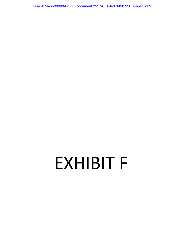Case 4:74-cv-00090-DCB Document 2517-6 Filed 09/01/20 Page 1 of 9

# EXHIBIT F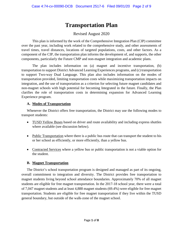# **Transportation Plan**

# Revised August 2020

This plan is informed by the work of the Comprehensive Integration Plan (CIP) committee over the past year, including work related to the comprehensive study, and other assessments of travel times, travel distances, locations of targeted populations, costs, and other factors. As a component of the CIP, the transportation plan informs the development of, and supports, the other components, particularly the Future CMP and non-magnet integration and academic plans.

The plan includes information on (a) magnet and incentive transportation, (b) transportation to support District Advanced Learning Experiences programs, and (c) transportation to support Two-way Dual Language. This plan also includes information on the modes of transportation provided, limiting transportation costs while maximizing transportation impacts on integration, and the use of transportation as a criterion for selecting future magnet candidates and non-magnet schools with high potential for becoming Integrated in the future. Finally, the Plan clarifies the role of transportation costs in determining expansion for Advanced Learning Experience program.

#### **A. Modes of Transportation**

Whenever the District offers free transportation, the District may use the following modes to transport students:

- TUSD Yellow Buses based on driver and route availability and including express shuttles where available (see discussion below).
- Public Transportation where there is a public bus route that can transport the student to his or her school as efficiently, or more efficiently, than a yellow bus.
- Contracted Services where a yellow bus or public transportation is not a viable option for the student.

# **B. Magnet Transportation**

The District's school transportation program is designed and managed as part of its ongoing, overall commitment to integration and diversity. The District provides free transportation to magnet students living beyond school attendance boundaries. Approximately 70% of all magnet students are eligible for free magnet transportation. In the 2017-18 school year, there were a total of 7,047 magnet students and at least 4,888 magnet students (69.4%) were eligible for free magnet transportation. Students are eligible for free magnet transportation if they live within the TUSD general boundary, but outside of the walk-zone of the magnet school.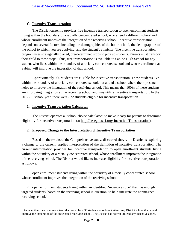# **C. Incentive Transportation**

The District currently provides free incentive transportation to open enrollment students living within the boundary of a racially concentrated school, who attend a different school and whose enrollment improves the integration of the receiving school. Incentive transportation depends on several factors, including the demographics of the home school, the demographics of the school to which you are applying, and the student's ethnicity. The incentive transportation program uses strategically placed, pre-determined stops to pick up students. Parents must transport their child to these stops. Thus, free transportation is available to Sabino High School for any student who lives within the boundary of a racially concentrated school and whose enrollment at Sabino will improve the integration of that school.

Approximately 900 students are eligible for incentive transportation. These students live within the boundary of a racially concentrated school, but attend a school where their presence helps to improve the integration of the receiving school. This means that 100% of these students are improving integration at the receiving school and may utilize incentive transportation. In the 2017-18 school year, there were 872 students eligible for incentive transportation.

#### **1. Incentive Transportation Calculator**

The District operates a "school choice calculator" to make it easy for parents to determine eligibility for incentive transportation (at http://deseg.tusd1.org/ Incentive-Transportation).

#### **2. Proposed Change to the Interpretation of Incentive Transportation**

Based on the results of the Comprehensive study, discussed above, the District is exploring a change to the current, applied interpretation of the definition of incentive transportation. The current interpretation provides for incentive transportation to open enrollment students living within the boundary of a racially concentrated school, whose enrollment improves the integration of the receiving school. The District would like to increase eligibility for incentive transportation, as follows:

1. open enrollment students living within the boundary of a racially concentrated school, whose enrollment improves the integration of the receiving school.

2. open enrollment students living within an identified "incentive zone" that has enough targeted students, based on the receiving school in question, to help integrate the nonmagnet receiving school. $<sup>1</sup>$  $<sup>1</sup>$  $<sup>1</sup>$ </sup>

<span id="page-2-0"></span>l  $<sup>1</sup>$  An incentive zone is a census tract that has at least 30 students who do not attend any District school that would</sup> improve the integration of the anticipated receiving school. The District has not yet utilized any incentive zones.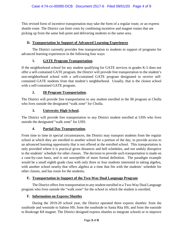This revised form of incentive transportation may take the form of a regular route, or an express shuttle route. The District can limit costs by combining incentive and magnet routes that are picking up from the same hub point and delivering students to the same area.

# **D. Transportation In Support of Advanced Learning Experiences**

The District currently provides free transportation to students in support of programs for advanced learning experiences in the following four ways:

# **1. GATE Program Transportation.**

If the neighborhood school for any student qualifying for GATE services in grades K-5 does not offer a self-contained GATE program, the District will provide free transportation to the student's non-neighborhood school with a self-contained GATE program designated to receive selfcontained GATE students from that student's neighborhood. Usually, that is the closest school with a self-contained GATE program.

# **2. IB Program Transportation.**

The District will provide free transportation to any student enrolled in the IB program at Cholla who lives outside the designated "walk zone" for Cholla.

# **3. University High School.**

The District will provide free transportation to any District student enrolled at UHS who lives outside the designated "walk zone" for UHS.

# **4. Partial Day Transportation.**

From time to time in special circumstances, the District may transport students from the regular school at which they are enrolled to another school for a portion of the day, to provide access to an advanced learning opportunity that is not offered at the enrolled school. This transportation is only provided where it is practical given distances and bell schedules, and not unduly disruptive to the students' schedule for other classes. The decision to provide such transportation is made on a case-by-case basis, and is not susceptible of more formal definition. The paradigm example would be a small eighth grade class with only three or four students interested in taking algebra, with another school nearby that offers algebra at a time that fits with the students' schedule for other classes, and has room for the students**.**

# **E. Transportation in Support of the Two-Way Dual Language Program**

The District offers free transportation to any student enrolled in a Two-Way Dual Language program who lives outside the "walk zone" for the school in which the student is enrolled.

# **F. Information on Express Shuttles**

During the 2019-20 school year, the District operated three express shuttles: from the southside and westside to Sabino HS; from the southside to Santa Rita HS; and from the eastside to Roskruge K8 magnet. The District designed express shuttles to integrate schools or to improve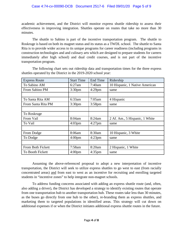#### Case 4:74-cv-00090-DCB Document 2517-6 Filed 09/01/20 Page 5 of 9

academic achievement, and the District will monitor express shuttle ridership to assess their effectiveness in improving integration. Shuttles operate on routes that take no more than 30 minutes.

The shuttle to Sabino is part of the incentive transportation program. The shuttle to Roskruge is based on both its magnet status and its status as a TWDL school. The shuttle to Santa Rita is to provide wider access to its unique programs for career readiness (including programs in construction technologies and and culinary arts which are designed to prepare students for careers immediately after high school) and dual credit courses, and is not part of the incentive transportation program.

The following chart sets out ridership data and transportation times for the three express shuttles operated by the District in the 2019-2020 school year:

| <b>Express Route</b> | <b>Start Time</b>  | End Time  | Ridership                      |
|----------------------|--------------------|-----------|--------------------------------|
| To Sabino AM         | 6:27am             | 7:40am    | 10 Hispanic, 1 Native American |
| From Sabino PM       | 3:30 <sub>pm</sub> | $4:29$ pm | same                           |
|                      |                    |           |                                |
| To Santa Rita AM     | $6:33$ am          | $7:05$ am | 4 Hispanic                     |
| From Santa Rita PM   | 3:30 <sub>pm</sub> | $3:58$ pm | same                           |
|                      |                    |           |                                |
| To Roskruge          |                    |           |                                |
| From Vail            | 8:04am             | 8:24am    | 2 Af. Am., 5 Hispanic, 1 White |
| To Vail              | $4:03$ pm          | $4:27$ pm | same                           |
|                      |                    |           |                                |
| From Dodge           | 8:06am             | 8:30am    | 10 Hispanic, 3 White           |
| To Dodge             | 4:00 <sub>pm</sub> | $4:23$ pm | same                           |
|                      |                    |           |                                |
| From Both Fickett    | 7:58am             | 8:20am    | 2 Hispanic, 1 White            |
| To Booth Fickett     | 4:00 <sub>pm</sub> | $4:35$ pm | same                           |

Assuming the above-referenced proposal to adopt a new interpretation of incentive transportation, the District will seek to utilize express shuttles to go west to east (from racially concentrated areas) and from east to west as an incentive for recruiting and enrolling targeted students in "incentive zones" to help integrate non-magnet schools.

To address funding concerns associated with adding an express shuttle route (and, often, also adding a driver), the District has developed a strategy to identify existing routes that operate from one transportation hub to another transportation hub. These routes take less than 30 minutes, as the buses go directly from one hub to the other), re-branding them as express shuttles, and marketing them to targeted populations in identified areas. This strategy will cut down on additional expenses if or when the District initiates additional express shuttle routes in the future.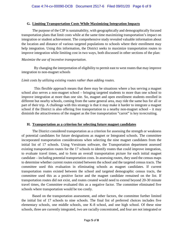#### **G. Limiting Transportation Costs While Maximizing Integration Impacts**

The purpose of the CIP is sustainability, with geographically and demographically focused transportation plans that limit costs while at the same time maximizing transportation's impact on integration or student achievement. The comprehensive study revealed valuable information about the location and distance of various targeted populations to schools where their enrollment may help integration. Using this information, the District seeks to maximize transportation routes to improve integration while limiting cost in two ways, both discussed in other sections of the plan:

#### *Maximize the use of incentive transportation*.

By changing the interpretation of eligibility to permit east to west routes that may improve integration to non-magnet schools

#### *Limit costs by utilizing existing routes rather than adding routes.*

This flexible approach means that there may be situations where a bus serving a magnet school also serves a non-magnet school – bringing targeted students to more than one school to improve integration at more than one site. So, magnet and open enrollment students enrolled in different but nearby schools, coming from the same general area, may ride the same bus for all or part of their trip. A challenge with this strategy is that it may make it harder to integrate a magnet school if the District is also offering free transportation to a nearby non-magnet school – it may diminish the attractiveness of the magnet as the free transportation "carrot" is key torecruiting.

#### **H. Transportation as a criterion for selecting future magnet candidates**

The District considered transportation as a criterion for assessing the strength or weakness of potential candidates for future designations as magnet or Integrated schools. The committee incorporated transportation considerations when selecting the nine magnet candidates from the initial list of 17 schools. Using Versitrans software, the Transportation department assessed existing transportation routes for the 17 schools to identify routes that could improve integration, to evaluate travel times, and to form an overall transportation picture for each initial magnet candidate – including potential transportation costs. In assessing routes, they used the census maps to determine whether current routes existed between the school and the targeted census tracts. The committee used this evaluation in eliminating schools as magnet candidates. If current transportation routes existed between the school and targeted demographic census tracts, the committee used this as a positive factor and the magnet candidate remained on the list. If transportation routes did not exist, and routes created would need to extend beyond 20-30 minute travel times, the Committee evaluated this as a negative factor. The committee eliminated five schools where transportation would be too costly.

Based on the transportation assessment, and other factors, the committee further limited the initial list of 17 schools to nine schools. The final list of preferred choices includes five elementary schools, one middle schools, one K-8 school, and one high school. Of these nine schools, three are currently integrated, two are racially concentrated, and four are not integrated or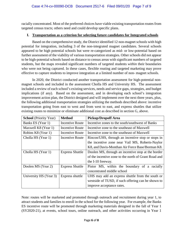racially concentrated. Most of the preferred choices have viable existing transportation routes from targeted census tracts; others need and could develop specific plans.

#### **I. Transportation as a criterion for selecting future candidates for Integrated schools**

Based on the comprehensive study, the District identified 12 non-magnet schools with high potential for integration, including 3 of the non-integrated magnet candidates. Several schools appeared to be high potential schools but were re-categorized as mid- or low-potential based on further assessment of the viability of various transportation strategies. Other schools did not appear to be high-potential schools based on distance to census areas with significant numbers of targeted students, but the maps revealed significant numbers of targeted students *within* their boundaries who were not being captured. In these cases, flexible routing and targeted marketing may prove effective to capture students to improve integration at a limited number of non- magnet schools.

In 2020, the District conducted another transportation assessment for high-potential nonmagnet schools and included in the assessment Cholla HS and University HS. The assessment included a review of each school's existing services, needs and service gaps, strategies, and budget implications (if any). Based on the assessment, and in developing each school's integration improvement action plan, the District designed and will implement over the next three years, plus, the following additional transportation strategies utilizing the methods described above: incentive transportation going from east to west and from west to east, and express shuttles that utilize existing routes to minimize or eliminate additional cost as described in section G, above.

| <b>School</b> (Priority Year)             | <b>Method</b>          | <b>Pickup/Dropoff Area</b>                           |  |
|-------------------------------------------|------------------------|------------------------------------------------------|--|
| Banks ES (Year 1)                         | <b>Incentive Route</b> | Incentive zones to the south/southwest of Banks      |  |
| Maxwell K8 (Year 1)                       | Incentive Route        | Incentive zone to the southeast of Maxwell           |  |
| Robins K8 (Year 1)                        | Incentive Route        | Incentive zone to the southeast of Maxwell           |  |
| Cholla HS (Year 1)                        | Incentive Route        | Rincon/UHS, through an incentive stop or stops in    |  |
|                                           |                        | the incentive zone near Vail MS, Roberts-Naylor      |  |
|                                           |                        | K8, and Davis-Monthan Air Force Base/Borman K8.      |  |
| Cholla HS (Year 1)                        | <b>Express Shuttle</b> | Doolen MS, through an incentive stop at the border   |  |
|                                           |                        | of the incentive zone to the north of Grant Road and |  |
|                                           |                        | the I-10 freeway.                                    |  |
| Doolen MS (Year 2)                        | <b>Express Shuttle</b> | Pistor MS, within the boundary of a racially         |  |
|                                           |                        | concentrated middle school                           |  |
| University HS (Year 3)<br>Express shuttle |                        | UHS may add an express shuttle from the south or     |  |
|                                           |                        | westside of TUSD, if such offering can be shown to   |  |
|                                           |                        | improve acceptance rates.                            |  |

Note: routes will be marketed and promoted through outreach and recruitment during year 1, to attract students and families to enroll in the school for the following year. For example, the Banks ES incentive route will be promoted through marketing materials designed in the fall of Year 1 (SY2020-21), at events, school tours, online outreach, and other activities occurring in Year 1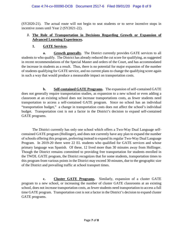(SY2020-21). The actual route will not begin to seat students or to serve incentive stops in incentive zones until Year 2 (SY2021-22).

# **J. The Role of Transportation in Decisions Regarding Growth or Expansion of Advanced Learning Experiences.**

# **1. GATE Services.**

**a. Growth generally.** The District currently provides GATE services to all students to who qualify. The District has already reduced the cut score for qualifying, as suggested in recent recommendations of the Special Master and orders of the Court, and has accommodated the increase in students as a result. Thus, there is no potential for major expansion of the number of students qualifying for GATE service, and no current plans to change the qualifying score again in such a way that would produce a measurable impact on transportation costs.

**b. Self-contained GATE Programs.** The expansion of self-contained GATE does not generally require transportation studies, as expansion to a new school or even adding a classroom at an existing school does not increase transportations costs, as fewer students need transportation to access a self-contained GATE program. Since no school has an individual "transportation budget," a change in transportation costs does not affect the school's individual budget. Transportation cost is not a factor in the District's decision to expand self-contained GATE programs.

The District currently has only one school which offers a Two-Way Dual Language selfcontained GATE program (Hollinger), and does not currently have any plan to expand the number of schools offering this program, preferring instead to expand its regular Two-Way Dual Language Program. In 2019-20 there were 22 EL students who qualified for GATE services and whose primary language was Spanish. Of these, 12 lived more than 30 minutes away from Hollinger. Though the District remains committed to providing free transportation for students enrolled in the TWDL GATE program, the District recognizes that for some students, transportation times to this program from various points in the District may exceed 30 minutes, due to the geographic size of the District and prevailing traffic at school transport times.

**c. Cluster GATE Programs.** Similarly, expansion of a cluster GATE program to a new school, or increasing the number of cluster GATE classrooms at an existing school, does not increase transportation costs, as fewer students need transportation to access a full time GATE program. Transportation cost is not a factor in the District's decision to expand cluster GATE programs.